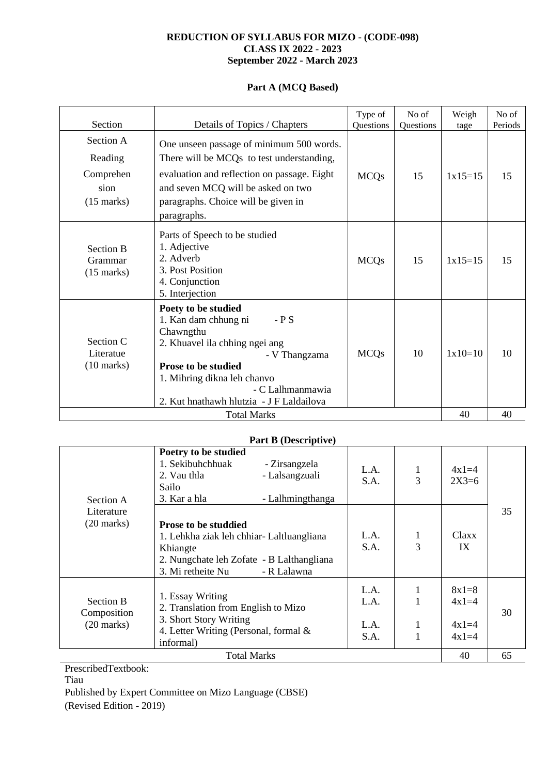### **REDUCTION OF SYLLABUS FOR MIZO - (CODE-098) CLASS IX 2022 - 2023 September 2022 - March 2023**

### **Part A (MCQ Based)**

| Section                                                           | Details of Topics / Chapters                                                                                                                                                                                                                        | Type of<br>Questions | No of<br><b>Ouestions</b> | Weigh<br>tage | No of<br>Periods |
|-------------------------------------------------------------------|-----------------------------------------------------------------------------------------------------------------------------------------------------------------------------------------------------------------------------------------------------|----------------------|---------------------------|---------------|------------------|
| Section A<br>Reading<br>Comprehen<br>sion<br>$(15 \text{ marks})$ | One unseen passage of minimum 500 words.<br>There will be MCQs to test understanding,<br>evaluation and reflection on passage. Eight<br>and seven MCQ will be asked on two<br>paragraphs. Choice will be given in<br>paragraphs.                    | <b>MCQs</b>          | 15                        | $1x15=15$     | 15               |
| <b>Section B</b><br>Grammar<br>$(15$ marks)                       | Parts of Speech to be studied<br>1. Adjective<br>2. Adverb<br>3. Post Position<br>4. Conjunction<br>5. Interjection                                                                                                                                 | <b>MCQs</b>          | 15                        | $1x15=15$     | 15               |
| Section C<br>Literatue<br>$(10 \text{ marks})$                    | Poety to be studied<br>$-$ P S<br>1. Kan dam chhung ni<br>Chawngthu<br>2. Khuavel ila chhing ngei ang<br>- V Thangzama<br><b>Prose to be studied</b><br>1. Mihring dikna leh chanvo<br>- C Lalhmanmawia<br>2. Kut hnathawh hlutzia - J F Laldailova | <b>MCQs</b>          | 10                        | $1x10=10$     | 10               |
| <b>Total Marks</b>                                                |                                                                                                                                                                                                                                                     |                      | 40                        | 40            |                  |

| <b>Part B (Descriptive)</b>                     |                                                                                                                                                                      |                              |                   |                                          |    |
|-------------------------------------------------|----------------------------------------------------------------------------------------------------------------------------------------------------------------------|------------------------------|-------------------|------------------------------------------|----|
| Section A<br>Literature<br>$(20 \text{ marks})$ | Poetry to be studied<br>1. Sekibuhchhuak<br>- Zirsangzela<br>- Lalsangzuali<br>2. Vau thla<br>Sailo<br>3. Kar a hla<br>- Lalhmingthanga                              | L.A.<br>S.A.                 | $\mathbf{1}$<br>3 | $4x1=4$<br>$2X3=6$                       |    |
|                                                 | <b>Prose to be studdied</b><br>1. Lehkha ziak leh chhiar-Laltluangliana<br>Khiangte<br>2. Nungchate leh Zofate - B Lalthangliana<br>3. Mi retheite Nu<br>- R Lalawna | L.A.<br>S.A.                 | $\mathbf{1}$<br>3 | Claxx<br>IX                              | 35 |
| Section B<br>Composition<br>$(20$ marks)        | 1. Essay Writing<br>2. Translation from English to Mizo<br>3. Short Story Writing<br>4. Letter Writing (Personal, formal &<br>informal)                              | L.A.<br>L.A.<br>L.A.<br>S.A. | 1<br>1            | $8x1=8$<br>$4x1=4$<br>$4x1=4$<br>$4x1=4$ | 30 |
|                                                 | <b>Total Marks</b>                                                                                                                                                   |                              |                   | 40                                       | 65 |

PrescribedTextbook: Tiau Published by Expert Committee on Mizo Language (CBSE) (Revised Edition - 2019)